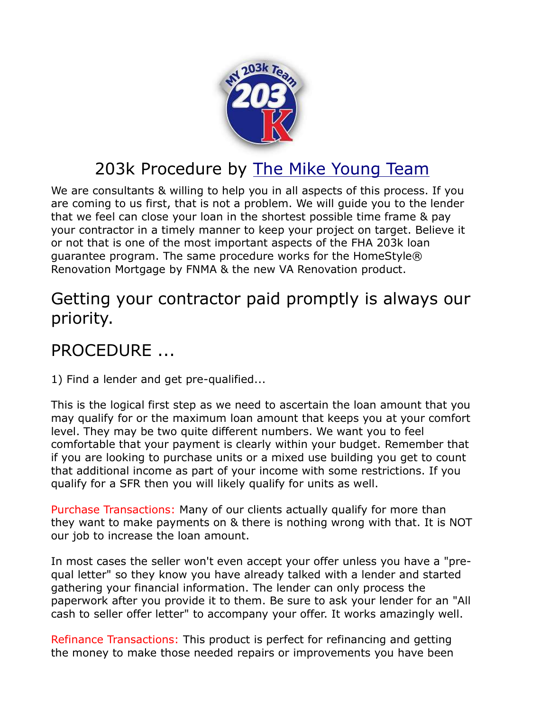

## 203k Procedure by The Mike Young Team

We are consultants & willing to help you in all aspects of this process. If you are coming to us first, that is not a problem. We will guide you to the lender that we feel can close your loan in the shortest possible time frame & pay your contractor in a timely manner to keep your project on target. Believe it or not that is one of the most important aspects of the FHA 203k loan guarantee program. The same procedure works for the HomeStyle® Renovation Mortgage by FNMA & the new VA Renovation product.

## Getting your contractor paid promptly is always our priority.

## PROCEDURE ...

1) Find a lender and get pre-qualified...

This is the logical first step as we need to ascertain the loan amount that you may qualify for or the maximum loan amount that keeps you at your comfort level. They may be two quite different numbers. We want you to feel comfortable that your payment is clearly within your budget. Remember that if you are looking to purchase units or a mixed use building you get to count that additional income as part of your income with some restrictions. If you qualify for a SFR then you will likely qualify for units as well.

Purchase Transactions: Many of our clients actually qualify for more than they want to make payments on & there is nothing wrong with that. It is NOT our job to increase the loan amount.

In most cases the seller won't even accept your offer unless you have a "prequal letter" so they know you have already talked with a lender and started gathering your financial information. The lender can only process the paperwork after you provide it to them. Be sure to ask your lender for an "All cash to seller offer letter" to accompany your offer. It works amazingly well.

Refinance Transactions: This product is perfect for refinancing and getting the money to make those needed repairs or improvements you have been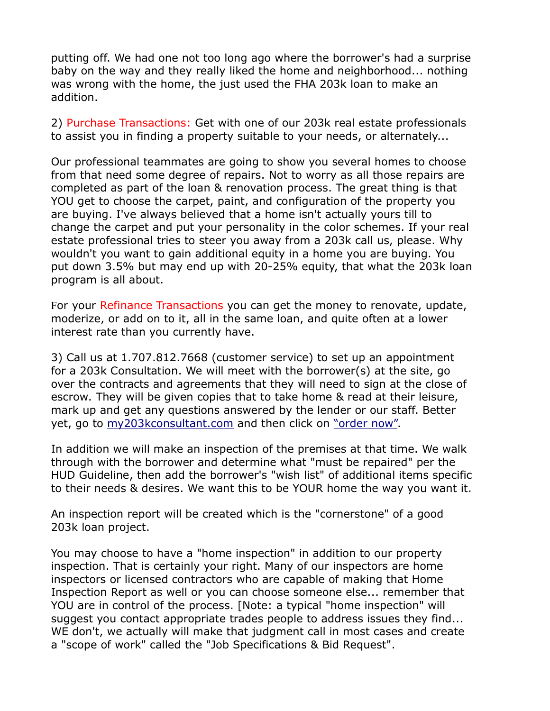putting off. We had one not too long ago where the borrower's had a surprise baby on the way and they really liked the home and neighborhood... nothing was wrong with the home, the just used the FHA 203k loan to make an addition.

2) Purchase Transactions: Get with one of our 203k real estate professionals to assist you in finding a property suitable to your needs, or alternately...

Our professional teammates are going to show you several homes to choose from that need some degree of repairs. Not to worry as all those repairs are completed as part of the loan & renovation process. The great thing is that YOU get to choose the carpet, paint, and configuration of the property you are buying. I've always believed that a home isn't actually yours till to change the carpet and put your personality in the color schemes. If your real estate professional tries to steer you away from a 203k call us, please. Why wouldn't you want to gain additional equity in a home you are buying. You put down 3.5% but may end up with 20-25% equity, that what the 203k loan program is all about.

For your Refinance Transactions you can get the money to renovate, update, moderize, or add on to it, all in the same loan, and quite often at a lower interest rate than you currently have.

3) Call us at 1.707.812.7668 (customer service) to set up an appointment for a 203k Consultation. We will meet with the borrower(s) at the site, go over the contracts and agreements that they will need to sign at the close of escrow. They will be given copies that to take home & read at their leisure, mark up and get any questions answered by the lender or our staff. Better yet, go to my203kconsultant.com and then click on "order now".

In addition we will make an inspection of the premises at that time. We walk through with the borrower and determine what "must be repaired" per the HUD Guideline, then add the borrower's "wish list" of additional items specific to their needs & desires. We want this to be YOUR home the way you want it.

An inspection report will be created which is the "cornerstone" of a good 203k loan project.

You may choose to have a "home inspection" in addition to our property inspection. That is certainly your right. Many of our inspectors are home inspectors or licensed contractors who are capable of making that Home Inspection Report as well or you can choose someone else... remember that YOU are in control of the process. [Note: a typical "home inspection" will suggest you contact appropriate trades people to address issues they find... WE don't, we actually will make that judgment call in most cases and create a "scope of work" called the "Job Specifications & Bid Request".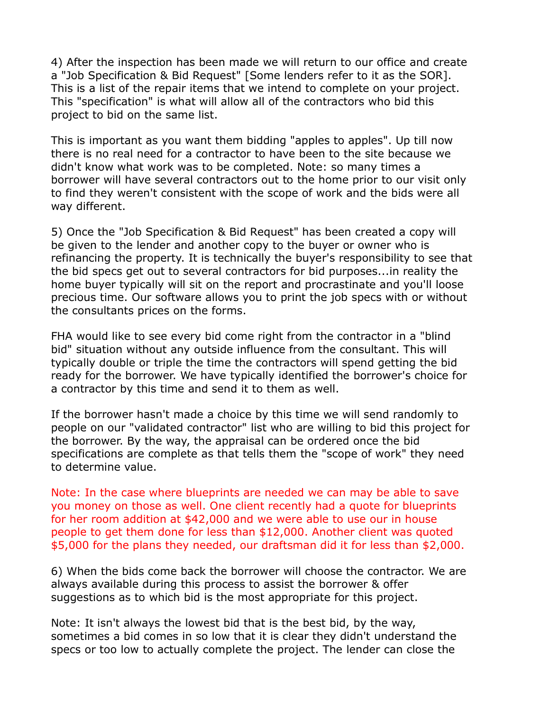4) After the inspection has been made we will return to our office and create a "Job Specification & Bid Request" [Some lenders refer to it as the SOR]. This is a list of the repair items that we intend to complete on your project. This "specification" is what will allow all of the contractors who bid this project to bid on the same list.

This is important as you want them bidding "apples to apples". Up till now there is no real need for a contractor to have been to the site because we didn't know what work was to be completed. Note: so many times a borrower will have several contractors out to the home prior to our visit only to find they weren't consistent with the scope of work and the bids were all way different.

5) Once the "Job Specification & Bid Request" has been created a copy will be given to the lender and another copy to the buyer or owner who is refinancing the property. It is technically the buyer's responsibility to see that the bid specs get out to several contractors for bid purposes...in reality the home buyer typically will sit on the report and procrastinate and you'll loose precious time. Our software allows you to print the job specs with or without the consultants prices on the forms.

FHA would like to see every bid come right from the contractor in a "blind bid" situation without any outside influence from the consultant. This will typically double or triple the time the contractors will spend getting the bid ready for the borrower. We have typically identified the borrower's choice for a contractor by this time and send it to them as well.

If the borrower hasn't made a choice by this time we will send randomly to people on our "validated contractor" list who are willing to bid this project for the borrower. By the way, the appraisal can be ordered once the bid specifications are complete as that tells them the "scope of work" they need to determine value.

Note: In the case where blueprints are needed we can may be able to save you money on those as well. One client recently had a quote for blueprints for her room addition at \$42,000 and we were able to use our in house people to get them done for less than \$12,000. Another client was quoted \$5,000 for the plans they needed, our draftsman did it for less than \$2,000.

6) When the bids come back the borrower will choose the contractor. We are always available during this process to assist the borrower & offer suggestions as to which bid is the most appropriate for this project.

Note: It isn't always the lowest bid that is the best bid, by the way, sometimes a bid comes in so low that it is clear they didn't understand the specs or too low to actually complete the project. The lender can close the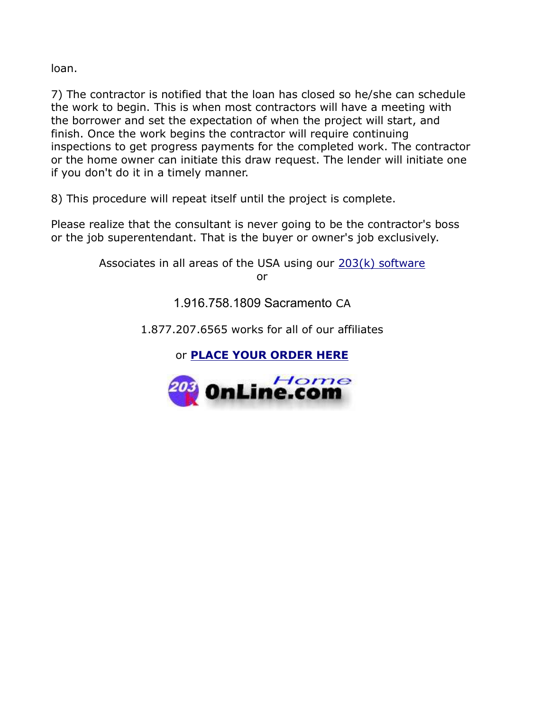loan.

7) The contractor is notified that the loan has closed so he/she can schedule the work to begin. This is when most contractors will have a meeting with the borrower and set the expectation of when the project will start, and finish. Once the work begins the contractor will require continuing inspections to get progress payments for the completed work. The contractor or the home owner can initiate this draw request. The lender will initiate one if you don't do it in a timely manner.

8) This procedure will repeat itself until the project is complete.

Please realize that the consultant is never going to be the contractor's boss or the job superentendant. That is the buyer or owner's job exclusively.

> Associates in all areas of the USA using our  $203(k)$  software or

> > 1.916.758.1809 Sacramento CA

1.877.207.6565 works for all of our affiliates

or PLACE YOUR ORDER HERE